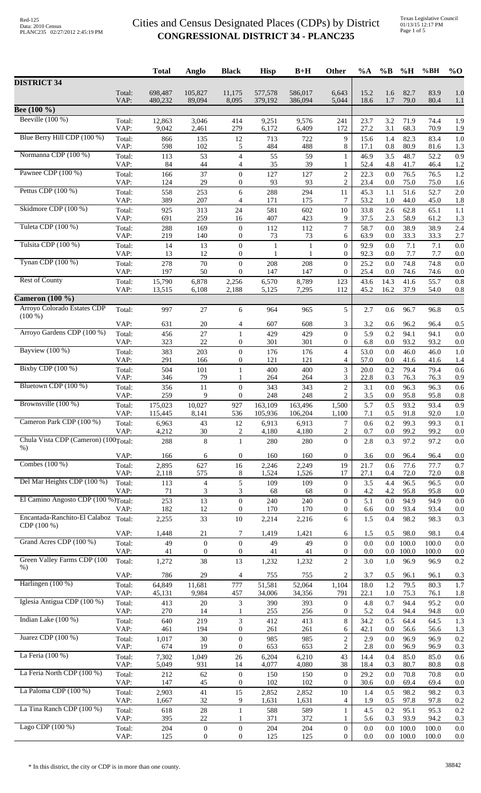|                                                                                                                                                                                                                                                                    |                | <b>Total</b>     | Anglo                            | <b>Black</b>                         | <b>Hisp</b>       | $B+H$             | Other                                | %A           | $\%B$              | %H             | %BH                                                                                                                                                                                                                                                                                                   | $%$ <sup>O</sup> |
|--------------------------------------------------------------------------------------------------------------------------------------------------------------------------------------------------------------------------------------------------------------------|----------------|------------------|----------------------------------|--------------------------------------|-------------------|-------------------|--------------------------------------|--------------|--------------------|----------------|-------------------------------------------------------------------------------------------------------------------------------------------------------------------------------------------------------------------------------------------------------------------------------------------------------|------------------|
| <b>DISTRICT 34</b>                                                                                                                                                                                                                                                 |                |                  |                                  |                                      |                   |                   |                                      |              |                    |                |                                                                                                                                                                                                                                                                                                       |                  |
|                                                                                                                                                                                                                                                                    | Total:         | 698,487          | 105,827                          | 11,175                               | 577,578           | 586,017           | 6,643                                | 15.2         | 1.6                | 82.7           | 83.9                                                                                                                                                                                                                                                                                                  | 1.0              |
| Bee (100 %)                                                                                                                                                                                                                                                        | VAP:           | 480,232          | 89,094                           | 8,095                                | 379,192           | 386,094           | 5,044                                | 18.6         | 1.7                | 79.0           |                                                                                                                                                                                                                                                                                                       | 1.1              |
| Beeville $(100\%)$                                                                                                                                                                                                                                                 | Total:         | 12,863           | 3,046                            | 414                                  | 9,251             | 9,576             | 241                                  | 23.7         | 3.2                | 71.9           |                                                                                                                                                                                                                                                                                                       | 1.9              |
|                                                                                                                                                                                                                                                                    | VAP:           | 9,042            | 2,461                            | 279                                  | 6,172             | 6,409             | 172                                  | 27.2         | 3.1                | 68.3           | 70.9                                                                                                                                                                                                                                                                                                  | 1.9              |
| Blue Berry Hill CDP (100 %)                                                                                                                                                                                                                                        | Total:<br>VAP: | 866<br>598       | 135<br>102                       | 12<br>5                              | 713<br>484        | 722<br>488        | 9<br>8                               | 15.6<br>17.1 | 1.4<br>0.8         | 82.3<br>80.9   |                                                                                                                                                                                                                                                                                                       | 1.0<br>1.3       |
| Normanna CDP (100 %)                                                                                                                                                                                                                                               | Total:         | 113              | 53                               | $\overline{4}$                       | 55                | 59                | 1                                    | 46.9         | 3.5                | 48.7           |                                                                                                                                                                                                                                                                                                       | 0.9              |
|                                                                                                                                                                                                                                                                    | VAP:           | 84               | $44$                             | $\overline{4}$                       | 35                | 39                | 1                                    | 52.4         | 4.8                | 41.7           | 46.4                                                                                                                                                                                                                                                                                                  | 1.2              |
| Pawnee CDP (100 %)                                                                                                                                                                                                                                                 | Total:<br>VAP: | 166<br>124       | 37<br>29                         | $\boldsymbol{0}$<br>$\boldsymbol{0}$ | 127<br>93         | 127<br>93         | $\overline{c}$<br>$\overline{c}$     | 22.3<br>23.4 | $0.0\,$<br>0.0     | 76.5<br>75.0   |                                                                                                                                                                                                                                                                                                       | 1.2<br>1.6       |
| Pettus CDP (100 %)                                                                                                                                                                                                                                                 | Total:         | 558              | 253                              | 6                                    | 288               | 294               | 11                                   | 45.3         | 1.1                | 51.6           |                                                                                                                                                                                                                                                                                                       | 2.0              |
|                                                                                                                                                                                                                                                                    | VAP:           | 389              | 207                              | 4                                    | 171               | 175               | 7                                    | 53.2         | 1.0                | 44.0           | 45.0                                                                                                                                                                                                                                                                                                  | 1.8              |
| Skidmore CDP (100 %)                                                                                                                                                                                                                                               | Total:<br>VAP: | 925<br>691       | 313<br>259                       | 24<br>16                             | 581<br>407        | 602<br>423        | 10<br>9                              | 33.8<br>37.5 | 2.6<br>2.3         | 62.8<br>58.9   |                                                                                                                                                                                                                                                                                                       | 1.1<br>1.3       |
| Tuleta CDP (100 %)                                                                                                                                                                                                                                                 | Total:         | 288              | 169                              | $\boldsymbol{0}$                     | 112               | 112               | $\overline{7}$                       | 58.7         | 0.0                | 38.9           | 38.9                                                                                                                                                                                                                                                                                                  | 2.4              |
|                                                                                                                                                                                                                                                                    | VAP:           | 219              | 140                              | $\boldsymbol{0}$                     | 73                | 73                | 6                                    | 63.9         | 0.0                | 33.3           | 33.3                                                                                                                                                                                                                                                                                                  | 2.7              |
| Tulsita CDP (100 %)                                                                                                                                                                                                                                                | Total:<br>VAP: | 14<br>13         | 13<br>12                         | $\mathbf{0}$<br>$\boldsymbol{0}$     | 1<br>$\mathbf{1}$ | $\mathbf{1}$<br>1 | $\boldsymbol{0}$<br>$\overline{0}$   | 92.9<br>92.3 | 0.0<br>0.0         | 7.1<br>7.7     |                                                                                                                                                                                                                                                                                                       | 0.0<br>0.0       |
| Tynan CDP (100 %)                                                                                                                                                                                                                                                  | Total:         | 278              | 70                               | $\boldsymbol{0}$                     | 208               | 208               | $\overline{0}$                       | 25.2         | 0.0                | 74.8           | 74.8                                                                                                                                                                                                                                                                                                  | 0.0              |
|                                                                                                                                                                                                                                                                    | VAP:           | 197              | 50                               | $\overline{0}$                       | 147               | 147               | $\overline{0}$                       | 25.4         | 0.0                | 74.6           | 74.6                                                                                                                                                                                                                                                                                                  | 0.0              |
| <b>Rest of County</b>                                                                                                                                                                                                                                              | Total:<br>VAP: | 15,790<br>13,515 | 6,878<br>6,108                   | 2,256<br>2,188                       | 6,570<br>5,125    | 8,789<br>7,295    | 123<br>112                           | 43.6<br>45.2 | 14.3<br>16.2       | 41.6<br>37.9   |                                                                                                                                                                                                                                                                                                       | 0.8<br>0.8       |
| <b>Cameron</b> (100 %)                                                                                                                                                                                                                                             |                |                  |                                  |                                      |                   |                   |                                      |              |                    |                |                                                                                                                                                                                                                                                                                                       |                  |
| Arroyo Colorado Estates CDP                                                                                                                                                                                                                                        | Total:         | 997              | 27                               | 6                                    | 964               | 965               | 5                                    | 2.7          | 0.6                | 96.7           | 96.8                                                                                                                                                                                                                                                                                                  | 0.5              |
|                                                                                                                                                                                                                                                                    | VAP:           | 631              | $20\,$                           | 4                                    | 607               | 608               | 3                                    | 3.2          | 0.6                | 96.2           |                                                                                                                                                                                                                                                                                                       | 0.5              |
| Arroyo Gardens CDP (100 %)                                                                                                                                                                                                                                         | Total:         | 456              | 27                               | $\mathbf{1}$                         | 429               | 429               | $\overline{0}$                       | 5.9          | 0.2                | 94.1           | 94.1                                                                                                                                                                                                                                                                                                  | 0.0              |
|                                                                                                                                                                                                                                                                    | VAP:           | 323              | 22                               | $\boldsymbol{0}$                     | 301               | 301               | $\overline{0}$                       | 6.8          | 0.0                | 93.2           | 93.2                                                                                                                                                                                                                                                                                                  | 0.0              |
|                                                                                                                                                                                                                                                                    | Total:<br>VAP: | 383<br>291       | 203<br>166                       | $\boldsymbol{0}$<br>$\boldsymbol{0}$ | 176<br>121        | 176<br>121        | $\overline{4}$<br>4                  | 53.0<br>57.0 | 0.0<br>0.0         | 46.0<br>41.6   |                                                                                                                                                                                                                                                                                                       | 1.0<br>1.4       |
| Bixby CDP (100 %)                                                                                                                                                                                                                                                  | Total:         | 504              | 101                              | $\mathbf{1}$                         | 400               | 400               | 3                                    | 20.0         | 0.2                | 79.4           | 79.4                                                                                                                                                                                                                                                                                                  | 0.6              |
| Bluetown CDP (100 %)<br>Brownsville (100 %)                                                                                                                                                                                                                        | VAP:           | 346              | 79                               | 1                                    | 264               | 264               | 3                                    | 22.8         | 0.3                | 76.3           | 76.3                                                                                                                                                                                                                                                                                                  | 0.9              |
|                                                                                                                                                                                                                                                                    | Total:<br>VAP: | 356<br>259       | 11<br>9                          | $\boldsymbol{0}$<br>$\overline{0}$   | 343<br>248        | 343<br>248        | $\overline{c}$<br>$\overline{2}$     | 3.1<br>3.5   | 0.0<br>0.0         | 96.3<br>95.8   |                                                                                                                                                                                                                                                                                                       | 0.6<br>0.8       |
|                                                                                                                                                                                                                                                                    | Total:         | 175,023          | 10,027                           | 927                                  | 163,109           | 163,496           | 1,500                                | 5.7          | 0.5                | 93.2           | 93.4                                                                                                                                                                                                                                                                                                  | 0.9              |
|                                                                                                                                                                                                                                                                    | VAP:           | 115,445          | 8,141                            | 536                                  | 105,936           | 106,204           | 1,100                                | 7.1          | 0.5                | 91.8           |                                                                                                                                                                                                                                                                                                       | 1.0              |
|                                                                                                                                                                                                                                                                    | Total:<br>VAP: | 6,963<br>4,212   | 43<br>30                         | 12<br>$\overline{c}$                 | 6,913<br>4,180    | 6,913<br>4,180    | $\overline{7}$<br>$\overline{c}$     | 0.6<br>0.7   | 0.2<br>$0.0\,$     | 99.3<br>99.2   | 99.2                                                                                                                                                                                                                                                                                                  | 0.1<br>0.0       |
| Chula Vista CDP (Cameron) (100Total:                                                                                                                                                                                                                               |                | 288              | $8\,$                            | $\mathbf{1}$                         | 280               | 280               | $\overline{0}$                       | 2.8          | 0.3                | 97.2           | 97.2                                                                                                                                                                                                                                                                                                  | 0.0              |
|                                                                                                                                                                                                                                                                    | VAP:           | 166              | 6                                | $\boldsymbol{0}$                     | 160               | 160               | $\overline{0}$                       | 3.6          | 0.0                | 96.4           |                                                                                                                                                                                                                                                                                                       | 0.0              |
| Combes (100 %)                                                                                                                                                                                                                                                     | Total:         | 2,895            | 627                              | 16                                   | 2,246             | 2,249             | 19                                   | 21.7         | 0.6                | 77.6           | 77.7                                                                                                                                                                                                                                                                                                  | 0.7              |
|                                                                                                                                                                                                                                                                    | VAP:           | 2,118            | 575                              | 8                                    | 1,524             | 1,526             | 17                                   | 27.1         | 0.4                | 72.0           | 72.0                                                                                                                                                                                                                                                                                                  | 0.8              |
|                                                                                                                                                                                                                                                                    | Total:<br>VAP: | 113<br>71        | $\overline{4}$<br>3              | 5<br>3                               | 109<br>68         | 109<br>68         | $\overline{0}$<br>$\overline{0}$     | 3.5<br>4.2   | 4.4<br>4.2         | 96.5<br>95.8   |                                                                                                                                                                                                                                                                                                       | 0.0<br>0.0       |
| $(100\%)$<br><b>Bayview</b> (100 %)<br>Cameron Park CDP (100 %)<br>$%$ )<br>Del Mar Heights CDP (100 %)<br>El Camino Angosto CDP (100 %)Total:<br>Encantada-Ranchito-El Calaboz<br>$CDP(100\%)$<br>Grand Acres CDP (100 %)<br>Green Valley Farms CDP (100<br>$%$ ) |                | 253              | 13                               | $\boldsymbol{0}$                     | 240               | 240               | $\overline{0}$                       | 5.1          | 0.0                | 94.9           | 94.9                                                                                                                                                                                                                                                                                                  | 0.0              |
|                                                                                                                                                                                                                                                                    | VAP:           | 182              | 12                               | 0                                    | 170               | 170               | $\overline{0}$                       | 6.6          | 0.0                | 93.4           | 93.4                                                                                                                                                                                                                                                                                                  | 0.0              |
|                                                                                                                                                                                                                                                                    | Total:         | 2,255            | 33                               | 10                                   | 2,214             | 2,216             | 6                                    | 1.5          | 0.4                | 98.2           |                                                                                                                                                                                                                                                                                                       | 0.3              |
|                                                                                                                                                                                                                                                                    | VAP:           | 1,448            | 21                               | 7                                    | 1,419             | 1,421             | 6                                    | 1.5          | 0.5                | 98.0           | 98.1                                                                                                                                                                                                                                                                                                  | 0.4              |
|                                                                                                                                                                                                                                                                    | Total:<br>VAP: | 49<br>41         | $\boldsymbol{0}$<br>$\mathbf{0}$ | $\mathbf{0}$<br>$\boldsymbol{0}$     | 49<br>41          | 49<br>41          | $\overline{0}$<br>0                  | 0.0<br>0.0   | $0.0\,$<br>$0.0\,$ | 100.0<br>100.0 |                                                                                                                                                                                                                                                                                                       | 0.0<br>0.0       |
|                                                                                                                                                                                                                                                                    | Total:         | 1,272            | 38                               | 13                                   | 1,232             | 1,232             | $\overline{2}$                       | 3.0          | 1.0                | 96.9           | 96.9                                                                                                                                                                                                                                                                                                  | 0.2              |
|                                                                                                                                                                                                                                                                    | VAP:           | 786              | 29                               | $\overline{4}$                       | 755               | 755               | $\overline{c}$                       | 3.7          | 0.5                | 96.1           |                                                                                                                                                                                                                                                                                                       | 0.3              |
| Harlingen (100 %)                                                                                                                                                                                                                                                  | Total:         | 64,849           | 11,681                           | 777                                  | 51,581            | 52,064            | 1,104                                | 18.0         | 1.2                | 79.5           | 80.3                                                                                                                                                                                                                                                                                                  | 1.7              |
|                                                                                                                                                                                                                                                                    | VAP:           | 45,131           | 9,984                            | 457                                  | 34,006            | 34,356            | 791                                  | 22.1         | 1.0                | 75.3           | 76.1                                                                                                                                                                                                                                                                                                  | 1.8              |
| Iglesia Antigua CDP (100 %)                                                                                                                                                                                                                                        | Total:<br>VAP: | 413<br>270       | $20\,$<br>14                     | 3<br>1                               | 390<br>255        | 393<br>256        | $\overline{0}$<br>$\overline{0}$     | 4.8<br>5.2   | 0.7<br>0.4         | 94.4<br>94.4   |                                                                                                                                                                                                                                                                                                       | 0.0<br>0.0       |
| Indian Lake (100 %)                                                                                                                                                                                                                                                | Total:         | 640              | 219                              | 3                                    | 412               | 413               | 8                                    | 34.2         | 0.5                | 64.4           | 64.5                                                                                                                                                                                                                                                                                                  | 1.3              |
|                                                                                                                                                                                                                                                                    | VAP:           | 461              | 194                              | $\boldsymbol{0}$                     | 261               | 261               | 6                                    | 42.1         | 0.0                | 56.6           | 56.6                                                                                                                                                                                                                                                                                                  | 1.3              |
| Juarez CDP (100 %)                                                                                                                                                                                                                                                 | Total:<br>VAP: | 1,017<br>674     | $30\,$<br>19                     | $\boldsymbol{0}$<br>$\boldsymbol{0}$ | 985<br>653        | 985<br>653        | $\overline{c}$<br>2                  | 2.9<br>2.8   | 0.0<br>0.0         | 96.9<br>96.9   |                                                                                                                                                                                                                                                                                                       | 0.2<br>0.3       |
| La Feria $(100\%)$                                                                                                                                                                                                                                                 | Total:         | 7,302            | 1,049                            | 26                                   | 6,204             | 6,210             | 43                                   | 14.4         | 0.4                | 85.0           | 85.0                                                                                                                                                                                                                                                                                                  | 0.6              |
|                                                                                                                                                                                                                                                                    | VAP:           | 5,049            | 931                              | 14                                   | 4,077             | 4,080             | 38                                   | 18.4         | 0.3                | 80.7           | 80.8                                                                                                                                                                                                                                                                                                  | 0.8              |
| La Feria North CDP (100 %)                                                                                                                                                                                                                                         | Total:<br>VAP: | 212<br>147       | 62<br>45                         | $\boldsymbol{0}$<br>$\boldsymbol{0}$ | 150<br>102        | 150<br>102        | $\boldsymbol{0}$<br>$\boldsymbol{0}$ | 29.2<br>30.6 | 0.0<br>0.0         | 70.8<br>69.4   |                                                                                                                                                                                                                                                                                                       | 0.0<br>0.0       |
| La Paloma CDP (100 %)                                                                                                                                                                                                                                              | Total:         | 2,903            | 41                               | 15                                   | 2,852             | 2,852             | 10                                   | 1.4          | 0.5                | 98.2           | 98.2                                                                                                                                                                                                                                                                                                  | 0.3              |
|                                                                                                                                                                                                                                                                    | VAP:           | 1,667            | 32                               | 9                                    | 1,631             | 1,631             | 4                                    | 1.9          | 0.5                | 97.8           | 97.8                                                                                                                                                                                                                                                                                                  | 0.2              |
| La Tina Ranch CDP (100 %)                                                                                                                                                                                                                                          | Total:<br>VAP: | 618<br>395       | $28\,$<br>22                     | $\mathbf{1}$<br>1                    | 588<br>371        | 589<br>372        | $\mathbf{1}$<br>1                    | 4.5<br>5.6   | 0.2<br>0.3         | 95.1<br>93.9   |                                                                                                                                                                                                                                                                                                       | 0.2<br>0.3       |
| Lago CDP (100 %)                                                                                                                                                                                                                                                   | Total:         | 204              | $\boldsymbol{0}$                 | $\boldsymbol{0}$                     | 204               | 204               | $\overline{0}$                       | 0.0          | 0.0                | 100.0          | 100.0                                                                                                                                                                                                                                                                                                 | 0.0              |
|                                                                                                                                                                                                                                                                    | VAP:           | 125              | $\boldsymbol{0}$                 | 0                                    | 125               | 125               | $\overline{0}$                       | 0.0          |                    | $0.0$ 100.0    | 80.4<br>74.4<br>83.4<br>81.6<br>52.2<br>76.5<br>75.0<br>52.7<br>65.1<br>61.2<br>7.1<br>7.7<br>55.7<br>54.0<br>96.4<br>46.0<br>41.6<br>96.3<br>95.8<br>92.0<br>99.3<br>96.4<br>96.5<br>95.8<br>98.3<br>100.0<br>100.0<br>96.1<br>95.2<br>94.8<br>96.9<br>96.9<br>70.8<br>69.4<br>95.3<br>94.2<br>100.0 | 0.0              |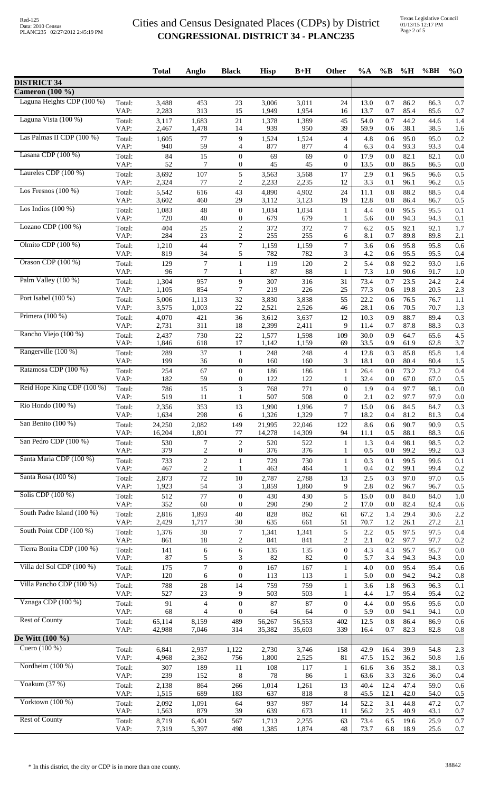Texas Legislative Council 01/13/15 12:17 PM Page 2 of 5

|                                                      |                | <b>Total</b>     | Anglo                            | <b>Black</b>                     | <b>Hisp</b>      | $B+H$            | Other                          | $\%A$        | $\%B$          | %H           | %BH          | $%$ <sup>O</sup> |
|------------------------------------------------------|----------------|------------------|----------------------------------|----------------------------------|------------------|------------------|--------------------------------|--------------|----------------|--------------|--------------|------------------|
| <b>DISTRICT 34</b>                                   |                |                  |                                  |                                  |                  |                  |                                |              |                |              |              |                  |
| <b>Cameron</b> (100 %)<br>Laguna Heights CDP (100 %) |                |                  |                                  |                                  |                  |                  |                                |              |                |              |              |                  |
|                                                      | Total:<br>VAP: | 3,488<br>2,283   | 453<br>313                       | 23<br>15                         | 3,006<br>1,949   | 3,011<br>1,954   | 24<br>16                       | 13.0<br>13.7 | 0.7<br>0.7     | 86.2<br>85.4 | 86.3<br>85.6 | 0.7<br>0.7       |
| Laguna Vista (100 %)                                 | Total:         | 3,117            | 1,683                            | $21\,$                           | 1,378            | 1,389            | 45                             | 54.0         | 0.7            | 44.2         | 44.6         | 1.4              |
| Las Palmas II CDP (100 %)                            | VAP:<br>Total: | 2,467<br>1,605   | 1,478<br>$77\,$                  | 14<br>9                          | 939<br>1,524     | 950<br>1,524     | 39<br>$\overline{4}$           | 59.9<br>4.8  | 0.6<br>0.6     | 38.1<br>95.0 | 38.5<br>95.0 | 1.6<br>0.2       |
|                                                      | VAP:           | 940              | 59                               | $\overline{4}$                   | 877              | 877              | $\overline{4}$                 | 6.3          | 0.4            | 93.3         | 93.3         | 0.4              |
| Lasana CDP (100 %)                                   | Total:<br>VAP: | 84<br>52         | 15<br>7                          | $\mathbf{0}$<br>$\overline{0}$   | 69<br>45         | 69<br>45         | $\mathbf{0}$<br>$\overline{0}$ | 17.9<br>13.5 | 0.0<br>0.0     | 82.1<br>86.5 | 82.1<br>86.5 | 0.0<br>0.0       |
| Laureles CDP (100 %)                                 | Total:         | 3,692            | 107                              | 5                                | 3,563            | 3,568            | 17                             | 2.9          | 0.1            | 96.5         | 96.6         | 0.5              |
| Los Fresnos $(100\%)$                                | VAP:<br>Total: | 2,324<br>5,542   | 77<br>616                        | $\overline{c}$<br>43             | 2,233<br>4,890   | 2,235<br>4,902   | 12<br>24                       | 3.3<br>11.1  | 0.1<br>0.8     | 96.1<br>88.2 | 96.2<br>88.5 | 0.5<br>0.4       |
|                                                      | VAP:           | 3,602            | 460                              | 29                               | 3,112            | 3,123            | 19                             | 12.8         | 0.8            | 86.4         | 86.7         | 0.5              |
| Los Indios $(100\%)$                                 | Total:<br>VAP: | 1,083<br>720     | 48<br>40                         | $\mathbf{0}$<br>$\overline{0}$   | 1,034<br>679     | 1,034<br>679     | $\mathbf{1}$<br>1              | 4.4<br>5.6   | 0.0<br>0.0     | 95.5<br>94.3 | 95.5<br>94.3 | 0.1<br>0.1       |
| Lozano CDP (100 %)                                   | Total:         | 404              | 25                               | $\sqrt{2}$                       | 372              | 372              | $\tau$                         | 6.2          | 0.5            | 92.1         | 92.1         | 1.7              |
| Olmito CDP (100 %)                                   | VAP:<br>Total: | 284<br>1,210     | 23<br>44                         | 2<br>$\boldsymbol{7}$            | 255<br>1,159     | 255<br>1,159     | 6<br>$\tau$                    | 8.1<br>3.6   | 0.7<br>0.6     | 89.8<br>95.8 | 89.8<br>95.8 | 2.1<br>0.6       |
|                                                      | VAP:           | 819              | 34                               | 5                                | 782              | 782              | 3                              | 4.2          | 0.6            | 95.5         | 95.5         | 0.4              |
| Orason CDP (100 %)                                   | Total:<br>VAP: | 129<br>96        | $\boldsymbol{7}$<br>7            | $\mathbf{1}$<br>1                | 119<br>87        | 120<br>88        | $\overline{c}$<br>1            | 5.4<br>7.3   | 0.8<br>1.0     | 92.2<br>90.6 | 93.0<br>91.7 | 1.6<br>1.0       |
| Palm Valley (100 %)                                  | Total:         | 1,304            | 957                              | 9                                | 307              | 316              | 31                             | 73.4         | 0.7            | 23.5         | 24.2         | 2.4              |
| Port Isabel (100 %)                                  | VAP:<br>Total: | 1,105<br>5,006   | 854<br>1,113                     | 7<br>32                          | 219<br>3,830     | 226<br>3,838     | 25<br>55                       | 77.3<br>22.2 | 0.6<br>0.6     | 19.8<br>76.5 | 20.5<br>76.7 | 2.3              |
|                                                      | VAP:           | 3,575            | 1,003                            | 22                               | 2,521            | 2,526            | 46                             | 28.1         | 0.6            | 70.5         | 70.7         | 1.1<br>1.3       |
| Primera $(100\%)$                                    | Total:<br>VAP: | 4,070<br>2,731   | 421<br>311                       | 36<br>18                         | 3,612<br>2,399   | 3,637<br>2,411   | 12<br>9                        | 10.3<br>11.4 | 0.9<br>0.7     | 88.7<br>87.8 | 89.4<br>88.3 | 0.3<br>0.3       |
| Rancho Viejo (100 %)                                 | Total:         | 2,437            | 730                              | $22\,$                           | 1,577            | 1,598            | 109                            | 30.0         | 0.9            | 64.7         | 65.6         | 4.5              |
| Rangerville (100 %)                                  | VAP:           | 1,846            | 618                              | 17                               | 1,142            | 1,159            | 69                             | 33.5         | 0.9            | 61.9         | 62.8         | 3.7              |
|                                                      | Total:<br>VAP: | 289<br>199       | 37<br>36                         | $\mathbf{1}$<br>$\boldsymbol{0}$ | 248<br>160       | 248<br>160       | $\overline{4}$<br>3            | 12.8<br>18.1 | 0.3<br>0.0     | 85.8<br>80.4 | 85.8<br>80.4 | 1.4<br>1.5       |
| Ratamosa CDP (100 %)                                 | Total:         | 254              | 67                               | $\mathbf{0}$                     | 186              | 186              | $\mathbf{1}$                   | 26.4         | 0.0            | 73.2         | 73.2         | 0.4              |
| Reid Hope King CDP (100 %)                           | VAP:<br>Total: | 182<br>786       | 59<br>15                         | $\mathbf{0}$<br>3                | 122<br>768       | 122<br>771       | 1<br>$\overline{0}$            | 32.4<br>1.9  | 0.0<br>0.4     | 67.0<br>97.7 | 67.0<br>98.1 | 0.5<br>0.0       |
|                                                      | VAP:           | 519              | 11                               | 1                                | 507              | 508              | $\overline{0}$                 | 2.1          | 0.2            | 97.7         | 97.9         | 0.0              |
| Rio Hondo $(100\%)$                                  | Total:<br>VAP: | 2,356<br>1,634   | 353<br>298                       | 13<br>6                          | 1,990<br>1,326   | 1,996<br>1,329   | 7<br>$\tau$                    | 15.0<br>18.2 | 0.6<br>0.4     | 84.5<br>81.2 | 84.7<br>81.3 | 0.3<br>0.4       |
| San Benito (100 %)                                   | Total:         | 24,250           | 2,082                            | 149                              | 21,995           | 22,046           | 122                            | 8.6          | 0.6            | 90.7         | 90.9         | 0.5              |
| San Pedro CDP (100 %)                                | VAP:<br>Total: | 16,204<br>530    | 1,801<br>$\tau$                  | 77<br>$\sqrt{2}$                 | 14,278<br>520    | 14,309<br>522    | 94<br>1                        | 11.1<br>1.3  | 0.5<br>0.4     | 88.1<br>98.1 | 88.3<br>98.5 | 0.6<br>0.2       |
|                                                      | VAP:           | 379              | $\overline{c}$                   | $\mathbf{0}$                     | 376              | 376              | $\mathbf{1}$                   | 0.5          | 0.0            | 99.2         | 99.2         | 0.3              |
| Santa Maria CDP (100 %)                              | Total:<br>VAP: | 733<br>467       | $\overline{c}$<br>$\overline{c}$ | 1<br>-1                          | 729<br>463       | 730<br>464       | $\mathbf{1}$<br>1              | 0.3<br>0.4   | 0.1<br>0.2     | 99.5<br>99.1 | 99.6<br>99.4 | 0.1<br>0.2       |
| Santa Rosa (100 %)                                   | Total:         | 2,873            | $72\,$                           | $10\,$                           | 2,787            | 2,788            | 13                             | 2.5          | 0.3            | 97.0         | 97.0         | 0.5              |
| Solis CDP (100 %)                                    | VAP:<br>Total: | 1,923<br>512     | 54<br>77                         | 3<br>$\mathbf{0}$                | 1,859<br>430     | 1,860<br>430     | 9<br>5                         | 2.8<br>15.0  | 0.2<br>0.0     | 96.7<br>84.0 | 96.7<br>84.0 | 0.5<br>1.0       |
|                                                      | VAP:           | 352              | 60                               | $\overline{0}$                   | 290              | 290              | $\overline{2}$                 | 17.0         | 0.0            | 82.4         | 82.4         | 0.6              |
| South Padre Island (100 %)                           | Total:<br>VAP: | 2,816<br>2,429   | 1,893<br>1,717                   | 40<br>30                         | 828<br>635       | 862<br>661       | 61<br>51                       | 67.2<br>70.7 | 1.4<br>1.2     | 29.4<br>26.1 | 30.6<br>27.2 | 2.2<br>2.1       |
| South Point CDP (100 %)                              | Total:         | 1,376            | 30                               | $\overline{7}$                   | 1,341            | 1,341            | 5                              | 2.2          | 0.5            | 97.5         | 97.5         | 0.4              |
| Tierra Bonita CDP (100 %)                            | VAP:<br>Total: | 861<br>141       | 18<br>6                          | $\overline{c}$<br>6              | 841<br>135       | 841<br>135       | 2<br>$\overline{0}$            | 2.1<br>4.3   | 0.2<br>4.3     | 97.7<br>95.7 | 97.7<br>95.7 | 0.2<br>0.0       |
|                                                      | VAP:           | 87               | 5                                | 3                                | 82               | 82               | $\mathbf{0}$                   | 5.7          | 3.4            | 94.3         | 94.3         | 0.0              |
| Villa del Sol CDP (100 %)                            | Total:<br>VAP: | 175<br>120       | $\overline{7}$<br>6              | $\mathbf{0}$<br>$\theta$         | 167<br>113       | 167<br>113       | $\mathbf{1}$<br>1              | 4.0<br>5.0   | 0.0<br>0.0     | 95.4<br>94.2 | 95.4<br>94.2 | 0.6<br>0.8       |
| Villa Pancho CDP (100 %)                             | Total:         | 788              | $28\,$                           | 14                               | 759              | 759              | $\mathbf{1}$                   | 3.6          | 1.8            | 96.3         | 96.3         | 0.1              |
| Yznaga CDP (100 %)                                   | VAP:<br>Total: | 527<br>91        | 23<br>$\overline{4}$             | 9<br>$\boldsymbol{0}$            | 503<br>87        | 503<br>87        | 1<br>$\boldsymbol{0}$          | 4.4<br>4.4   | 1.7<br>$0.0\,$ | 95.4<br>95.6 | 95.4<br>95.6 | 0.2<br>0.0       |
|                                                      | VAP:           | 68               | $\overline{4}$                   | $\overline{0}$                   | 64               | 64               | $\overline{0}$                 | 5.9          | 0.0            | 94.1         | 94.1         | 0.0              |
| <b>Rest of County</b>                                | Total:<br>VAP: | 65,114<br>42,988 | 8,159<br>7,046                   | 489<br>314                       | 56,267<br>35,382 | 56,553<br>35,603 | 402<br>339                     | 12.5<br>16.4 | $0.8\,$<br>0.7 | 86.4<br>82.3 | 86.9<br>82.8 | 0.6<br>0.8       |
| De Witt (100 %)                                      |                |                  |                                  |                                  |                  |                  |                                |              |                |              |              |                  |
| Cuero (100 %)                                        | Total:         | 6,841            | 2,937                            | 1,122                            | 2,730            | 3,746            | 158                            | 42.9         | 16.4           | 39.9         | 54.8         | 2.3              |
| Nordheim (100 %)                                     | VAP:<br>Total: | 4,968<br>307     | 2,362<br>189                     | 756<br>11                        | 1,800<br>108     | 2,525<br>117     | 81<br>$\mathbf{1}$             | 47.5<br>61.6 | 15.2<br>3.6    | 36.2<br>35.2 | 50.8<br>38.1 | 1.6<br>0.3       |
| Yoakum (37 %)                                        | VAP:           | 239              | 152                              | 8                                | 78               | 86               | 1                              | 63.6         | 3.3            | 32.6         | 36.0         | 0.4              |
|                                                      | Total:<br>VAP: | 2,138<br>1,515   | 864<br>689                       | 266<br>183                       | 1,014<br>637     | 1,261<br>818     | 13<br>8                        | 40.4<br>45.5 | 12.4<br>12.1   | 47.4<br>42.0 | 59.0<br>54.0 | 0.6<br>0.5       |
| Yorktown (100 %)                                     | Total:         | 2,092            | 1,091                            | 64                               | 937              | 987              | 14                             | 52.2         | 3.1            | 44.8         | 47.2         | 0.7              |
| <b>Rest of County</b>                                | VAP:<br>Total: | 1,563<br>8,719   | 879<br>6,401                     | 39<br>567                        | 639<br>1,713     | 673<br>2,255     | 11<br>63                       | 56.2<br>73.4 | 2.5<br>6.5     | 40.9<br>19.6 | 43.1<br>25.9 | 0.7<br>0.7       |
|                                                      | VAP:           | 7,319            | 5,397                            | 498                              | 1,385            | 1,874            | 48                             | 73.7         | 6.8            | 18.9         | 25.6         | 0.7              |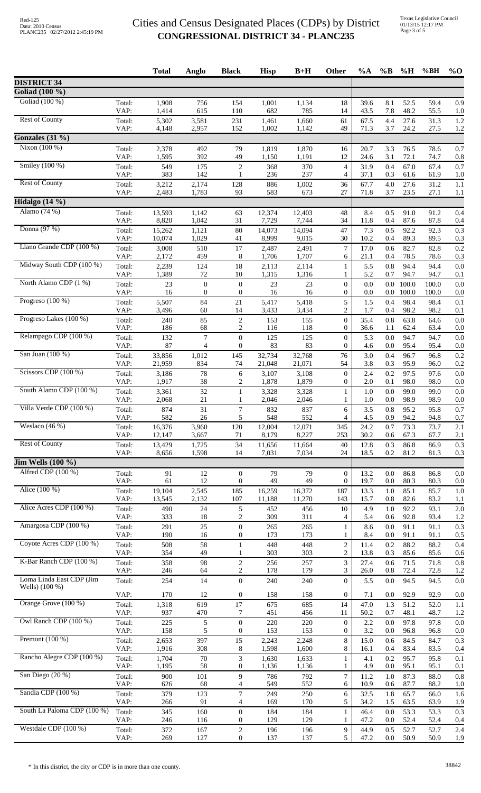|                                       |                | <b>Total</b>     | Anglo                            | <b>Black</b>                         | <b>Hisp</b>      | $B+H$            | Other                              | $\%A$        | $\%B$          | %H             | %BH            | $%$ <sup>O</sup> |
|---------------------------------------|----------------|------------------|----------------------------------|--------------------------------------|------------------|------------------|------------------------------------|--------------|----------------|----------------|----------------|------------------|
| <b>DISTRICT 34</b>                    |                |                  |                                  |                                      |                  |                  |                                    |              |                |                |                |                  |
| Goliad (100 %)                        |                |                  |                                  |                                      |                  |                  |                                    |              |                |                |                |                  |
| Goliad (100 %)                        | Total:<br>VAP: | 1,908<br>1,414   | 756<br>615                       | 154<br>110                           | 1,001<br>682     | 1,134<br>785     | 18<br>14                           | 39.6<br>43.5 | 8.1<br>7.8     | 52.5<br>48.2   | 59.4<br>55.5   | 0.9<br>1.0       |
| <b>Rest of County</b>                 | Total:         | 5,302            | 3,581                            | 231                                  | 1,461            | 1,660            | 61                                 | 67.5         | 4.4            | 27.6           | 31.3           | 1.2              |
|                                       | VAP:           | 4,148            | 2,957                            | 152                                  | 1,002            | 1,142            | 49                                 | 71.3         | 3.7            | 24.2           | 27.5           | 1.2              |
| Gonzales $(31\%)$<br>Nixon $(100\%)$  |                |                  |                                  |                                      |                  |                  |                                    |              |                |                |                |                  |
|                                       | Total:<br>VAP: | 2,378<br>1,595   | 492<br>392                       | 79<br>49                             | 1,819<br>1,150   | 1,870<br>1,191   | 16<br>12                           | 20.7<br>24.6 | 3.3<br>3.1     | 76.5<br>72.1   | 78.6<br>74.7   | 0.7<br>0.8       |
| Smiley $(100\%)$                      | Total:         | 549              | 175                              | $\overline{c}$                       | 368              | 370              | 4                                  | 31.9         | 0.4            | 67.0           | 67.4           | 0.7              |
| <b>Rest of County</b>                 | VAP:<br>Total: | 383<br>3,212     | 142<br>2,174                     | 1<br>128                             | 236<br>886       | 237<br>1,002     | 4<br>36                            | 37.1<br>67.7 | 0.3<br>4.0     | 61.6<br>27.6   | 61.9<br>31.2   | 1.0<br>1.1       |
|                                       | VAP:           | 2,483            | 1,783                            | 93                                   | 583              | 673              | 27                                 | 71.8         | 3.7            | 23.5           | 27.1           | 1.1              |
| Hidalgo (14 %)                        |                |                  |                                  |                                      |                  |                  |                                    |              |                |                |                |                  |
| Alamo (74 %)                          | Total:<br>VAP: | 13,593<br>8,820  | 1,142<br>1,042                   | 63<br>31                             | 12,374<br>7,729  | 12,403<br>7,744  | 48<br>34                           | 8.4<br>11.8  | 0.5<br>0.4     | 91.0<br>87.6   | 91.2<br>87.8   | 0.4<br>0.4       |
| Donna (97 %)                          | Total:         | 15,262           | 1,121                            | 80                                   | 14,073           | 14,094           | 47                                 | 7.3          | 0.5            | 92.2           | 92.3           | 0.3              |
|                                       | VAP:           | 10,074           | 1,029                            | 41                                   | 8,999            | 9,015            | 30                                 | 10.2         | 0.4            | 89.3           | 89.5           | 0.3              |
| Llano Grande CDP (100 %)              | Total:<br>VAP: | 3,008<br>2,172   | 510<br>459                       | 17<br>8                              | 2,487<br>1,706   | 2,491<br>1,707   | $\tau$<br>6                        | 17.0<br>21.1 | 0.6<br>0.4     | 82.7<br>78.5   | 82.8<br>78.6   | 0.2<br>0.3       |
| Midway South CDP (100 %)              | Total:         | 2,239            | 124                              | 18                                   | 2,113            | 2,114            | $\mathbf{1}$                       | 5.5          | 0.8            | 94.4           | 94.4           | 0.0              |
|                                       | VAP:           | 1,389            | 72                               | 10                                   | 1,315            | 1,316            | 1                                  | 5.2          | 0.7            | 94.7           | 94.7           | 0.1              |
| North Alamo CDP (1 %)                 | Total:<br>VAP: | 23<br>16         | $\boldsymbol{0}$<br>$\mathbf{0}$ | $\boldsymbol{0}$<br>$\boldsymbol{0}$ | 23<br>16         | 23<br>16         | $\boldsymbol{0}$<br>0              | 0.0<br>0.0   | 0.0<br>0.0     | 100.0<br>100.0 | 100.0<br>100.0 | 0.0<br>0.0       |
| Progreso $(100\%)$                    | Total:         | 5,507            | 84                               | 21                                   | 5,417            | 5,418            | 5                                  | 1.5          | 0.4            | 98.4           | 98.4           | 0.1              |
|                                       | VAP:           | 3,496            | 60                               | 14                                   | 3,433            | 3,434            | $\overline{c}$                     | 1.7          | 0.4            | 98.2           | 98.2           | 0.1              |
| Progreso Lakes (100 %)                | Total:<br>VAP: | 240<br>186       | 85<br>68                         | $\sqrt{2}$<br>$\overline{c}$         | 153<br>116       | 155<br>118       | $\boldsymbol{0}$<br>$\mathbf{0}$   | 35.4<br>36.6 | 0.8<br>1.1     | 63.8<br>62.4   | 64.6<br>63.4   | 0.0<br>0.0       |
| Relampago CDP (100 %)                 | Total:         | 132              | $\boldsymbol{7}$                 | $\overline{0}$                       | 125              | 125              | $\theta$                           | 5.3          | 0.0            | 94.7           | 94.7           | 0.0              |
| San Juan (100 %)                      | VAP:           | 87               | $\overline{4}$                   | $\overline{0}$                       | 83               | 83               | $\overline{0}$                     | 4.6          | 0.0            | 95.4           | 95.4           | 0.0              |
|                                       | Total:<br>VAP: | 33,856<br>21,959 | 1,012<br>834                     | 145<br>74                            | 32,734<br>21,048 | 32,768<br>21,071 | 76<br>54                           | 3.0<br>3.8   | 0.4<br>0.3     | 96.7<br>95.9   | 96.8<br>96.0   | 0.2<br>0.2       |
| Scissors CDP (100 %)                  | Total:         | 3,186            | 78                               | 6                                    | 3,107            | 3,108            | $\boldsymbol{0}$                   | 2.4          | 0.2            | 97.5           | 97.6           | 0.0              |
| South Alamo CDP (100 %)               | VAP:           | 1,917            | 38                               | 2                                    | 1,878            | 1,879            | 0                                  | 2.0          | 0.1            | 98.0           | 98.0           | 0.0              |
|                                       | Total:<br>VAP: | 3,361<br>2,068   | $32\,$<br>21                     | 1<br>1                               | 3,328<br>2,046   | 3,328<br>2,046   | 1<br>1                             | 1.0<br>1.0   | 0.0<br>0.0     | 99.0<br>98.9   | 99.0<br>98.9   | 0.0<br>0.0       |
| Villa Verde CDP (100 %)               | Total:         | 874              | 31                               | $\tau$                               | 832              | 837              | 6                                  | 3.5          | 0.8            | 95.2           | 95.8           | 0.7              |
| Weslaco $(46%)$                       | VAP:<br>Total: | 582<br>16,376    | 26<br>3,960                      | 5<br>120                             | 548<br>12,004    | 552<br>12,071    | 4<br>345                           | 4.5<br>24.2  | 0.9<br>0.7     | 94.2<br>73.3   | 94.8<br>73.7   | 0.7<br>2.1       |
|                                       | VAP:           | 12,147           | 3,667                            | 71                                   | 8,179            | 8,227            | 253                                | 30.2         | 0.6            | 67.3           | 67.7           | 2.1              |
| <b>Rest of County</b>                 | Total:         | 13,429           | 1,725                            | 34                                   | 11,656           | 11,664           | 40                                 | 12.8         | 0.3            | 86.8           | 86.9           | 0.3              |
| $\overline{\text{Jim Wells}}$ (100 %) | VAP:           | 8,656            | 1,598                            | 14                                   | 7,031            | 7,034            | 24                                 | 18.5         | 0.2            | 81.2           | 81.3           | 0.3              |
| Alfred CDP (100 %)                    | Total:         | 91               | 12                               | $\mathbf{0}$                         | 79               | 79               | $\mathbf{0}$                       | 13.2         | 0.0            | 86.8           | 86.8           | 0.0              |
|                                       | VAP:           | 61               | 12                               | $\mathbf{0}$                         | 49               | 49               | $\mathbf{0}$                       | 19.7         | 0.0            | 80.3           | 80.3           | 0.0              |
| Alice (100 %)                         | Total:<br>VAP: | 19,104<br>13,545 | 2,545<br>2,132                   | 185<br>107                           | 16,259<br>11,188 | 16,372<br>11,270 | 187<br>143                         | 13.3<br>15.7 | 1.0<br>0.8     | 85.1<br>82.6   | 85.7<br>83.2   | 1.0<br>1.1       |
| Alice Acres CDP (100 %)               | Total:         | 490              | 24                               | 5                                    | 452              | 456              | 10                                 | 4.9          | 1.0            | 92.2           | 93.1           | 2.0              |
|                                       | VAP:           | 333              | $18\,$                           | $\overline{c}$                       | 309              | 311              | 4                                  | 5.4          | 0.6            | 92.8           | 93.4           | 1.2              |
| Amargosa CDP (100 %)                  | Total:<br>VAP: | 291<br>190       | 25<br>16                         | $\overline{0}$<br>$\mathbf{0}$       | 265<br>173       | 265<br>173       | $\mathbf{1}$<br>1                  | 8.6<br>8.4   | 0.0<br>0.0     | 91.1<br>91.1   | 91.1<br>91.1   | 0.3<br>0.5       |
| Coyote Acres CDP (100 %)              | Total:         | 508              | 58                               | $\mathbf{1}$                         | 448              | 448              | $\overline{c}$                     | 11.4         | 0.2            | 88.2           | 88.2           | 0.4              |
|                                       | VAP:           | 354              | 49                               | 1                                    | 303              | 303              | 2                                  | 13.8         | 0.3            | 85.6           | 85.6           | 0.6              |
| K-Bar Ranch CDP (100 %)               | Total:<br>VAP: | 358<br>246       | 98<br>64                         | $\boldsymbol{2}$<br>$\overline{c}$   | 256<br>178       | 257<br>179       | 3<br>3                             | 27.4<br>26.0 | 0.6<br>0.8     | 71.5<br>72.4   | 71.8<br>72.8   | 0.8<br>1.2       |
| Loma Linda East CDP (Jim              | Total:         | 254              | 14                               | $\overline{0}$                       | 240              | 240              | $\overline{0}$                     | 5.5          | 0.0            | 94.5           | 94.5           | 0.0              |
| Wells) (100 %)                        | VAP:           | 170              | 12                               | $\boldsymbol{0}$                     | 158              | 158              | $\boldsymbol{0}$                   | 7.1          | 0.0            | 92.9           | 92.9           | 0.0              |
| Orange Grove (100 %)                  | Total:         | 1,318            | 619                              | 17                                   | 675              | 685              | 14                                 | 47.0         | 1.3            | 51.2           | 52.0           | 1.1              |
| Owl Ranch CDP (100 %)                 | VAP:           | 937              | 470                              | 7                                    | 451              | 456              | 11                                 | 50.2         | 0.7            | 48.1           | 48.7           | 1.2              |
|                                       | Total:<br>VAP: | 225<br>158       | $\mathfrak{S}$<br>5              | $\boldsymbol{0}$<br>$\mathbf{0}$     | 220<br>153       | 220<br>153       | $\boldsymbol{0}$<br>$\overline{0}$ | 2.2<br>3.2   | $0.0\,$<br>0.0 | 97.8<br>96.8   | 97.8<br>96.8   | 0.0<br>0.0       |
| Premont $(100\%)$                     | Total:         | 2,653            | 397                              | 15                                   | 2,243            | 2,248            | 8                                  | 15.0         | 0.6            | 84.5           | 84.7           | 0.3              |
| Rancho Alegre CDP (100 %)             | VAP:           | 1,916            | 308                              | 8                                    | 1,598            | 1,600            | 8                                  | 16.1         | 0.4            | 83.4           | 83.5           | 0.4              |
|                                       | Total:<br>VAP: | 1,704<br>1,195   | $70\,$<br>58                     | 3<br>$\mathbf{0}$                    | 1,630<br>1,136   | 1,633<br>1,136   | $\mathbf{1}$<br>1                  | 4.1<br>4.9   | 0.2<br>0.0     | 95.7<br>95.1   | 95.8<br>95.1   | 0.1<br>0.1       |
| San Diego (20 %)                      | Total:         | 900              | 101                              | 9                                    | 786              | 792              | $\tau$                             | 11.2         | 1.0            | 87.3           | 88.0           | 0.8              |
| Sandia CDP (100 %)                    | VAP:           | 626              | 68                               | 4                                    | 549              | 552              | 6                                  | 10.9         | 0.6            | 87.7           | 88.2           | 1.0              |
|                                       | Total:<br>VAP: | 379<br>266       | 123<br>91                        | 7<br>4                               | 249<br>169       | 250<br>170       | 6<br>5                             | 32.5<br>34.2 | 1.8<br>1.5     | 65.7<br>63.5   | 66.0<br>63.9   | 1.6<br>1.9       |
| South La Paloma CDP (100 %)           | Total:         | 345              | 160                              | $\boldsymbol{0}$                     | 184              | 184              | $\mathbf{1}$                       | 46.4         | 0.0            | 53.3           | 53.3           | 0.3              |
| Westdale CDP $(100\%)$                | VAP:<br>Total: | 246<br>372       | 116<br>167                       | $\overline{0}$<br>$\sqrt{2}$         | 129<br>196       | 129<br>196       | 1<br>9                             | 47.2<br>44.9 | 0.0<br>0.5     | 52.4<br>52.7   | 52.4<br>52.7   | 0.4<br>2.4       |
|                                       | VAP:           | 269              | 127                              | $\boldsymbol{0}$                     | 137              | 137              | 5                                  | 47.2         | 0.0            | 50.9           | 50.9           | 1.9              |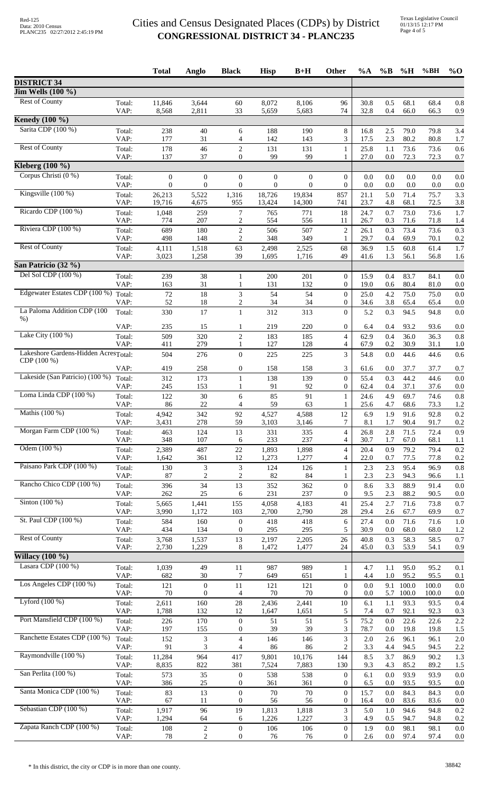|                                      |                | <b>Total</b>     | Anglo                        | <b>Black</b>                         | <b>Hisp</b>      | $B+H$            | <b>Other</b>                         | $\%A$        | $\%$ B     | $\%$ H         | %BH            | $\%$ O     |
|--------------------------------------|----------------|------------------|------------------------------|--------------------------------------|------------------|------------------|--------------------------------------|--------------|------------|----------------|----------------|------------|
| <b>DISTRICT 34</b>                   |                |                  |                              |                                      |                  |                  |                                      |              |            |                |                |            |
| <b>Jim Wells</b> (100 %)             |                |                  |                              |                                      |                  |                  |                                      |              |            |                |                |            |
| <b>Rest of County</b>                | Total:<br>VAP: | 11,846<br>8,568  | 3,644<br>2,811               | 60<br>33                             | 8,072<br>5,659   | 8,106<br>5,683   | 96<br>74                             | 30.8<br>32.8 | 0.5<br>0.4 | 68.1<br>66.0   | 68.4<br>66.3   | 0.8<br>0.9 |
| <b>Kenedy</b> (100 %)                |                |                  |                              |                                      |                  |                  |                                      |              |            |                |                |            |
| Sarita CDP (100 %)                   | Total:<br>VAP: | 238<br>177       | 40<br>31                     | 6<br>$\overline{4}$                  | 188<br>142       | 190<br>143       | 8<br>3                               | 16.8<br>17.5 | 2.5<br>2.3 | 79.0<br>80.2   | 79.8<br>80.8   | 3.4<br>1.7 |
| <b>Rest of County</b>                | Total:<br>VAP: | 178<br>137       | 46<br>37                     | $\overline{c}$<br>$\overline{0}$     | 131<br>99        | 131<br>99        | $\mathbf{1}$<br>1                    | 25.8<br>27.0 | 1.1<br>0.0 | 73.6<br>72.3   | 73.6<br>72.3   | 0.6<br>0.7 |
| Kleberg $(100\%)$                    |                |                  |                              |                                      |                  |                  |                                      |              |            |                |                |            |
| Corpus Christi (0 %)                 | Total:         | $\mathbf{0}$     | $\mathbf{0}$                 | $\boldsymbol{0}$                     | $\boldsymbol{0}$ | $\mathbf{0}$     | $\mathbf{0}$                         | 0.0          | 0.0        | 0.0            | 0.0            | 0.0        |
|                                      | VAP:           | $\mathbf{0}$     | $\overline{0}$               | $\boldsymbol{0}$                     | $\boldsymbol{0}$ | $\theta$         | $\theta$                             | 0.0          | 0.0        | 0.0            | 0.0            | 0.0        |
| Kingsville $(100\%)$                 | Total:<br>VAP: | 26,213<br>19,716 | 5,522<br>4,675               | 1,316<br>955                         | 18,726<br>13,424 | 19,834<br>14,300 | 857<br>741                           | 21.1<br>23.7 | 5.0<br>4.8 | 71.4<br>68.1   | 75.7<br>72.5   | 3.3<br>3.8 |
| Ricardo CDP (100 %)                  | Total:<br>VAP: | 1,048<br>774     | 259<br>207                   | $\overline{7}$<br>2                  | 765<br>554       | 771<br>556       | 18<br>11                             | 24.7<br>26.7 | 0.7<br>0.3 | 73.0<br>71.6   | 73.6<br>71.8   | 1.7<br>1.4 |
| Riviera CDP (100 %)                  | Total:         | 689              | 180                          | 2                                    | 506              | 507              | $\overline{c}$                       | 26.1         | 0.3        | 73.4           | 73.6           | 0.3        |
| <b>Rest of County</b>                | VAP:<br>Total: | 498              | 148                          | 2                                    | 348              | 349              | 1                                    | 29.7         | 0.4        | 69.9           | 70.1           | 0.2        |
|                                      | VAP:           | 4,111<br>3,023   | 1,518<br>1,258               | 63<br>39                             | 2,498<br>1,695   | 2,525<br>1,716   | 68<br>49                             | 36.9<br>41.6 | 1.5<br>1.3 | 60.8<br>56.1   | 61.4<br>56.8   | 1.7<br>1.6 |
| San Patricio (32 %)                  |                |                  |                              |                                      |                  |                  |                                      |              |            |                |                |            |
| Del Sol CDP (100 %)                  | Total:         | 239              | 38                           | 1                                    | 200              | 201              | $\mathbf{0}$                         | 15.9         | 0.4        | 83.7           | 84.1           | 0.0        |
| Edgewater Estates CDP (100 %)        | VAP:           | 163              | 31                           | 1                                    | 131              | 132              | $\boldsymbol{0}$                     | 19.0         | 0.6        | 80.4           | 81.0           | 0.0        |
|                                      | Total:<br>VAP: | 72<br>52         | $18\,$<br>18                 | 3<br>$\overline{c}$                  | 54<br>34         | 54<br>34         | $\theta$<br>$\boldsymbol{0}$         | 25.0<br>34.6 | 4.2<br>3.8 | 75.0<br>65.4   | 75.0<br>65.4   | 0.0<br>0.0 |
| La Paloma Addition CDP (100<br>$%$ ) | Total:         | 330              | 17                           | $\mathbf{1}$                         | 312              | 313              | $\Omega$                             | 5.2          | 0.3        | 94.5           | 94.8           | 0.0        |
|                                      | VAP:           | 235              | 15                           | 1                                    | 219              | 220              | $\mathbf{0}$                         | 6.4          | 0.4        | 93.2           | 93.6           | 0.0        |
| Lake City $(100\%)$                  | Total:<br>VAP: | 509<br>411       | 320<br>279                   | $\overline{c}$<br>1                  | 183<br>127       | 185<br>128       | $\overline{4}$<br>4                  | 62.9<br>67.9 | 0.4<br>0.2 | 36.0<br>30.9   | 36.3<br>31.1   | 0.8<br>1.0 |
| Lakeshore Gardens-Hidden AcresTotal: |                | 504              | 276                          | $\mathbf{0}$                         | 225              | 225              | 3                                    | 54.8         | 0.0        | 44.6           | 44.6           | 0.6        |
| CDP (100 %)                          | VAP:           | 419              | 258                          | $\boldsymbol{0}$                     | 158              | 158              | 3                                    | 61.6         | 0.0        | 37.7           | 37.7           | 0.7        |
| Lakeside (San Patricio) (100 %)      | Total:         | 312              | 173                          | $\mathbf{1}$                         | 138              | 139              | $\theta$                             | 55.4         | 0.3        | 44.2           | 44.6           | 0.0        |
|                                      | VAP:           | 245              | 153                          | 1                                    | 91               | 92               | $\mathbf{0}$                         | 62.4         | 0.4        | 37.1           | 37.6           | 0.0        |
| Loma Linda CDP (100 %)               | Total:<br>VAP: | 122<br>86        | $30\,$<br>$22\,$             | 6<br>$\overline{4}$                  | 85<br>59         | 91<br>63         | 1<br>1                               | 24.6<br>25.6 | 4.9<br>4.7 | 69.7<br>68.6   | 74.6<br>73.3   | 0.8<br>1.2 |
| Mathis (100 %)                       | Total:<br>VAP: | 4,942            | 342                          | 92                                   | 4,527            | 4,588            | 12                                   | 6.9          | 1.9        | 91.6           | 92.8           | 0.2        |
| Morgan Farm CDP (100 %)              | Total:         | 3,431<br>463     | 278<br>124                   | 59<br>13                             | 3,103<br>331     | 3,146<br>335     | 7<br>$\overline{4}$                  | 8.1<br>26.8  | 1.7<br>2.8 | 90.4<br>71.5   | 91.7<br>72.4   | 0.2<br>0.9 |
|                                      | VAP:           | 348              | 107                          | 6                                    | 233              | 237              | 4                                    | 30.7         | 1.7        | 67.0           | 68.1           | 1.1        |
| Odem (100 %)                         | Total:         | 2,389            | 487                          | $22\,$                               | 1,893            | 1,898            | 4                                    | 20.4         | 0.9        | 79.2           | 79.4           | 0.2        |
| Paisano Park CDP (100 %)             | VAP:<br>Total: | 1,642<br>130     | 361<br>3                     | 12<br>3                              | 1,273<br>124     | 1,277            | 4                                    | 22.0<br>2.3  | 0.7<br>2.3 | 77.5<br>95.4   | 77.8<br>96.9   | 0.2<br>0.8 |
|                                      | VAP:           | 87               | 2                            | 2                                    | 82               | 126<br>84        | $\mathbf{1}$<br>1                    | 2.3          | 2.3        | 94.3           | 96.6           | 1.1        |
| Rancho Chico CDP (100 %)             | Total:<br>VAP: | 396<br>262       | 34<br>25                     | 13<br>6                              | 352<br>231       | 362<br>237       | $\boldsymbol{0}$<br>0                | 8.6<br>9.5   | 3.3<br>2.3 | 88.9<br>88.2   | 91.4<br>90.5   | 0.0<br>0.0 |
| Sinton $(100\%)$                     | Total:         | 5,665            | 1,441                        | 155                                  | 4,058            | 4,183            | 41                                   | 25.4         | 2.7        | 71.6           | 73.8           | 0.7        |
|                                      | VAP:           | 3,990            | 1,172                        | 103                                  | 2,700            | 2,790            | 28                                   | 29.4         | 2.6        | 67.7           | 69.9           | 0.7        |
| St. Paul CDP (100 %)                 | Total:<br>VAP: | 584<br>434       | 160<br>134                   | $\boldsymbol{0}$<br>$\boldsymbol{0}$ | 418<br>295       | 418<br>295       | 6<br>5                               | 27.4<br>30.9 | 0.0<br>0.0 | 71.6<br>68.0   | 71.6<br>68.0   | 1.0<br>1.2 |
| <b>Rest of County</b>                | Total:         | 3,768            | 1,537                        | 13                                   | 2,197            | 2,205            | 26                                   | 40.8         | 0.3        | 58.3           | 58.5           | 0.7        |
| Willacy $\overline{(100\%)}$         | VAP:           | 2,730            | 1,229                        | 8                                    | 1,472            | 1,477            | 24                                   | 45.0         | 0.3        | 53.9           | 54.1           | 0.9        |
| Lasara CDP (100 %)                   | Total:         | 1,039            | 49                           | 11                                   | 987              | 989              | $\mathbf{1}$                         | 4.7          | 1.1        | 95.0           | 95.2           | 0.1        |
|                                      | VAP:           | 682              | 30                           | 7                                    | 649              | 651              | 1                                    | 4.4          | 1.0        | 95.2           | 95.5           | 0.1        |
| Los Angeles CDP (100 %)              | Total:<br>VAP: | 121<br>70        | $\mathbf{0}$<br>$\mathbf{0}$ | 11<br>4                              | 121<br>70        | 121<br>70        | $\overline{0}$<br>$\boldsymbol{0}$   | 0.0<br>0.0   | 9.1<br>5.7 | 100.0<br>100.0 | 100.0<br>100.0 | 0.0<br>0.0 |
| Lyford $(100\%)$                     | Total:         | 2,611            | 160                          | 28                                   | 2,436            | 2,441            | $10\,$                               | 6.1          | 1.1        | 93.3           | 93.5           | 0.4        |
|                                      | VAP:           | 1,788            | 132                          | 12                                   | 1,647            | 1,651            | 5                                    | 7.4          | 0.7        | 92.1           | 92.3           | 0.3        |
| Port Mansfield CDP (100 %)           | Total:<br>VAP: | 226<br>197       | 170<br>155                   | $\boldsymbol{0}$<br>$\overline{0}$   | 51<br>39         | 51<br>39         | 5<br>3                               | 75.2<br>78.7 | 0.0<br>0.0 | 22.6<br>19.8   | 22.6<br>19.8   | 2.2<br>1.5 |
| Ranchette Estates CDP (100 %)        | Total:<br>VAP: | 152<br>91        | $\mathfrak{Z}$<br>3          | $\overline{4}$<br>$\overline{4}$     | 146<br>86        | 146<br>86        | 3<br>2                               | 2.0<br>3.3   | 2.6<br>4.4 | 96.1<br>94.5   | 96.1<br>94.5   | 2.0<br>2.2 |
| Raymondville (100 %)                 | Total:         | 11,284           | 964                          | 417                                  | 9,801            | 10,176           | 144                                  | 8.5          | 3.7        | 86.9           | 90.2           | 1.3        |
|                                      | VAP:           | 8,835            | 822                          | 381                                  | 7,524            | 7,883            | 130                                  | 9.3          | 4.3        | 85.2           | 89.2           | 1.5        |
| San Perlita (100 %)                  | Total:<br>VAP: | 573<br>386       | 35<br>25                     | $\boldsymbol{0}$<br>0                | 538<br>361       | 538<br>361       | $\boldsymbol{0}$<br>$\boldsymbol{0}$ | 6.1<br>6.5   | 0.0<br>0.0 | 93.9<br>93.5   | 93.9<br>93.5   | 0.0<br>0.0 |
| Santa Monica CDP (100 %)             | Total:         | 83               | 13                           | $\boldsymbol{0}$                     | 70               | 70               | $\boldsymbol{0}$                     | 15.7         | 0.0        | 84.3           | 84.3           | 0.0        |
| Sebastian CDP (100 %)                | VAP:           | 67               | 11<br>96                     | $\boldsymbol{0}$<br>19               | 56<br>1,813      | 56<br>1,818      | $\mathbf{0}$<br>3                    | 16.4<br>5.0  | 0.0        | 83.6<br>94.6   | 83.6<br>94.8   | 0.0<br>0.2 |
|                                      | Total:<br>VAP: | 1,917<br>1,294   | 64                           | 6                                    | 1,226            | 1,227            | 3                                    | 4.9          | 1.0<br>0.5 | 94.7           | 94.8           | 0.2        |
| Zapata Ranch CDP (100 %)             | Total:         | 108              | $\boldsymbol{2}$             | $\boldsymbol{0}$                     | 106              | 106              | $\mathbf{0}$                         | 1.9          | 0.0        | 98.1           | 98.1           | 0.0        |
|                                      | VAP:           | 78               | $\boldsymbol{2}$             | $\boldsymbol{0}$                     | 76               | 76               | $\boldsymbol{0}$                     | 2.6          | $0.0\,$    | 97.4           | 97.4           | 0.0        |